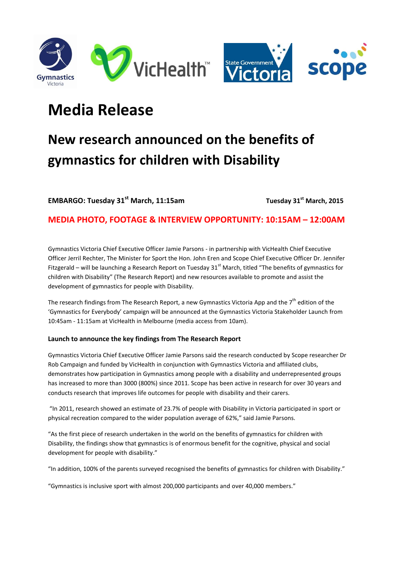



# **Media Release**

# **New research announced on the benefits of gymnastics for children with Disability**

**EMBARGO: Tuesday 31st March, 11:15am Tuesday 31st March, 2015**

**MEDIA PHOTO, FOOTAGE & INTERVIEW OPPORTUNITY: 10:15AM – 12:00AM**

Gymnastics Victoria Chief Executive Officer Jamie Parsons - in partnership with VicHealth Chief Executive Officer Jerril Rechter, The Minister for Sport the Hon. John Eren and Scope Chief Executive Officer Dr. Jennifer Fitzgerald – will be launching a Research Report on Tuesday  $31<sup>st</sup>$  March, titled "The benefits of gymnastics for children with Disability" (The Research Report) and new resources available to promote and assist the development of gymnastics for people with Disability.

The research findings from The Research Report, a new Gymnastics Victoria App and the  $7<sup>th</sup>$  edition of the 'Gymnastics for Everybody' campaign will be announced at the Gymnastics Victoria Stakeholder Launch from 10:45am - 11:15am at VicHealth in Melbourne (media access from 10am).

### **Launch to announce the key findings from The Research Report**

Gymnastics Victoria Chief Executive Officer Jamie Parsons said the research conducted by Scope researcher Dr Rob Campaign and funded by VicHealth in conjunction with Gymnastics Victoria and affiliated clubs, demonstrates how participation in Gymnastics among people with a disability and underrepresented groups has increased to more than 3000 (800%) since 2011. Scope has been active in research for over 30 years and conducts research that improves life outcomes for people with disability and their carers.

"In 2011, research showed an estimate of 23.7% of people with Disability in Victoria participated in sport or physical recreation compared to the wider population average of 62%," said Jamie Parsons.

"As the first piece of research undertaken in the world on the benefits of gymnastics for children with Disability, the findings show that gymnastics is of enormous benefit for the cognitive, physical and social development for people with disability."

"In addition, 100% of the parents surveyed recognised the benefits of gymnastics for children with Disability."

"Gymnastics is inclusive sport with almost 200,000 participants and over 40,000 members."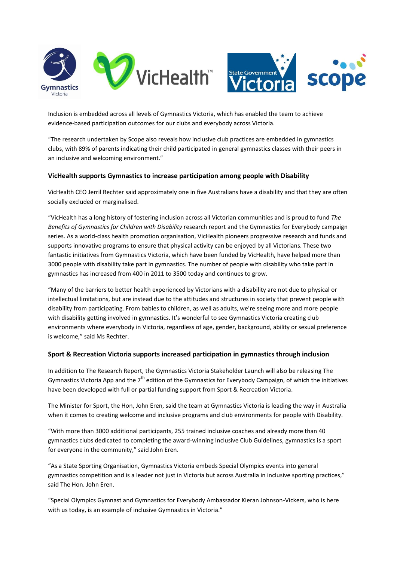



Inclusion is embedded across all levels of Gymnastics Victoria, which has enabled the team to achieve evidence-based participation outcomes for our clubs and everybody across Victoria.

"The research undertaken by Scope also reveals how inclusive club practices are embedded in gymnastics clubs, with 89% of parents indicating their child participated in general gymnastics classes with their peers in an inclusive and welcoming environment."

#### **VicHealth supports Gymnastics to increase participation among people with Disability**

VicHealth CEO Jerril Rechter said approximately one in five Australians have a disability and that they are often socially excluded or marginalised.

"VicHealth has a long history of fostering inclusion across all Victorian communities and is proud to fund *The Benefits of Gymnastics for Children with Disability* research report and the Gymnastics for Everybody campaign series. As a world-class health promotion organisation, VicHealth pioneers progressive research and funds and supports innovative programs to ensure that physical activity can be enjoyed by all Victorians. These two fantastic initiatives from Gymnastics Victoria, which have been funded by VicHealth, have helped more than 3000 people with disability take part in gymnastics. The number of people with disability who take part in gymnastics has increased from 400 in 2011 to 3500 today and continues to grow.

"Many of the barriers to better health experienced by Victorians with a disability are not due to physical or intellectual limitations, but are instead due to the attitudes and structures in society that prevent people with disability from participating. From babies to children, as well as adults, we're seeing more and more people with disability getting involved in gymnastics. It's wonderful to see Gymnastics Victoria creating club environments where everybody in Victoria, regardless of age, gender, background, ability or sexual preference is welcome," said Ms Rechter.

#### **Sport & Recreation Victoria supports increased participation in gymnastics through inclusion**

In addition to The Research Report, the Gymnastics Victoria Stakeholder Launch will also be releasing The Gymnastics Victoria App and the  $7<sup>th</sup>$  edition of the Gymnastics for Everybody Campaign, of which the initiatives have been developed with full or partial funding support from Sport & Recreation Victoria.

The Minister for Sport, the Hon, John Eren, said the team at Gymnastics Victoria is leading the way in Australia when it comes to creating welcome and inclusive programs and club environments for people with Disability.

"With more than 3000 additional participants, 255 trained inclusive coaches and already more than 40 gymnastics clubs dedicated to completing the award-winning Inclusive Club Guidelines, gymnastics is a sport for everyone in the community," said John Eren.

"As a State Sporting Organisation, Gymnastics Victoria embeds Special Olympics events into general gymnastics competition and is a leader not just in Victoria but across Australia in inclusive sporting practices," said The Hon. John Eren.

"Special Olympics Gymnast and Gymnastics for Everybody Ambassador Kieran Johnson-Vickers, who is here with us today, is an example of inclusive Gymnastics in Victoria."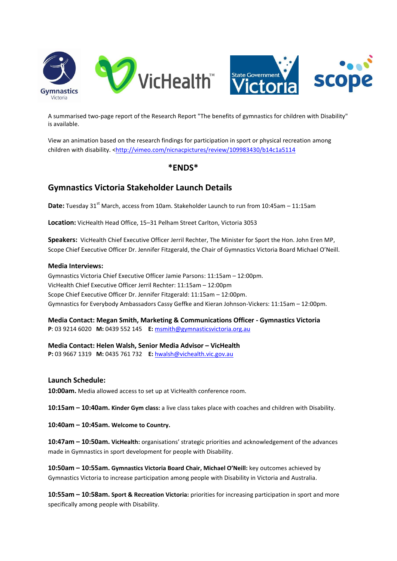



A summarised two-page report of the Research Report "The benefits of gymnastics for children with Disability" is available.

View an animation based on the research findings for participation in sport or physical recreation among children with disability. [<http://vimeo.com/nicnacpictures/review/109983430/b14c1a5114](http://vimeo.com/nicnacpictures/review/109983430/b14c1a5114)

## **\*ENDS\***

# **Gymnastics Victoria Stakeholder Launch Details**

**Date:** Tuesday 31<sup>st</sup> March, access from 10am. Stakeholder Launch to run from 10:45am - 11:15am

**Location:** VicHealth Head Office, 15–31 Pelham Street Carlton, Victoria 3053

**Speakers:** VicHealth Chief Executive Officer Jerril Rechter, The Minister for Sport the Hon. John Eren MP, Scope Chief Executive Officer Dr. Jennifer Fitzgerald, the Chair of Gymnastics Victoria Board Michael O'Neill.

#### **Media Interviews:**

Gymnastics Victoria Chief Executive Officer Jamie Parsons: 11:15am – 12:00pm. VicHealth Chief Executive Officer Jerril Rechter: 11:15am – 12:00pm Scope Chief Executive Officer Dr. Jennifer Fitzgerald: 11:15am – 12:00pm. Gymnastics for Everybody Ambassadors Cassy Geffke and Kieran Johnson-Vickers: 11:15am – 12:00pm.

**Media Contact: Megan Smith, Marketing & Communications Officer - Gymnastics Victoria P**: 03 9214 6020 **M:** 0439 552 145 **E:** [msmith@gymnasticsvictoria.org.au](mailto:msmith@gymnasticsvictoria.org.au)

**Media Contact: Helen Walsh, Senior Media Advisor - VicHealth P:** 03 9667 1319 **M:** 0435 761 732 **E:** [hwalsh@vichealth.vic.gov.au](mailto:hwalsh@vichealth.vic.gov.au)

### **Launch Schedule:**

**10:00am.** Media allowed access to set up at VicHealth conference room.

**10:15am – 10:40am. Kinder Gym class:** a live class takes place with coaches and children with Disability.

**10:40am – 10:45am. Welcome to Country.**

**10:47am – 10:50am. VicHealth:** organisations' strategic priorities and acknowledgement of the advances made in Gymnastics in sport development for people with Disability.

**10:50am – 10:55am. Gymnastics Victoria Board Chair, Michael O'Neill:** key outcomes achieved by Gymnastics Victoria to increase participation among people with Disability in Victoria and Australia.

**10:55am – 10:58am. Sport & Recreation Victoria:** priorities for increasing participation in sport and more specifically among people with Disability.